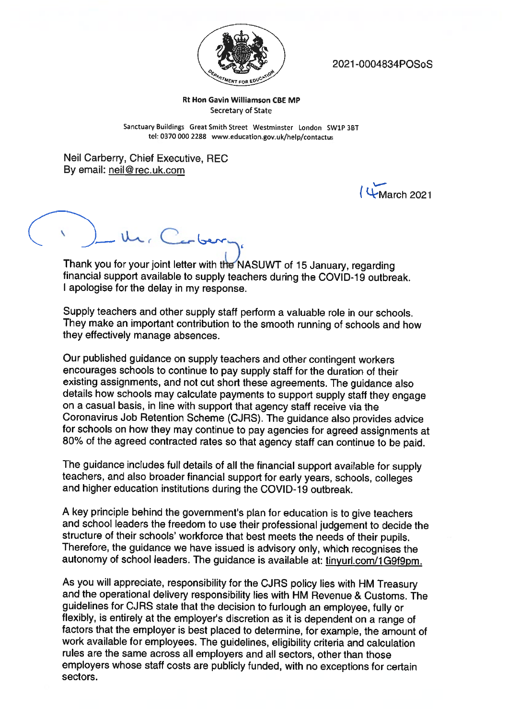

2021 -0004834POSoS

## Rt Hon Gavin Williamson CBE MP Secretary of State

Sanctuary Buildings Great Smith Street Westminster London SW1P 3BT tel: 0370 000 2288 www.education.gov.uk/help/contactus

Neil Carberry, Chief Executive. REC By email: neil@rec.uk.com

 $($   $\downarrow$  March 2021

Ur. Carber

Thank you for your joint letter with the NASUWT of 15 January, regarding financial support available to supply teachers during the CQVID-19 outbreak. <sup>I</sup> apologise for the delay in my response.

Supply teachers and other supply staff perform <sup>a</sup> valuable role in our schools. They make an important contribution to the smooth running of schools and how they effectively manage absences.

Our published guidance on supply teachers and other contingent workers encourages schools to continue to pay supply staff for the duration of their existing assignments, and not cut short these agreements. The guidance also details how schools may calculate payments to support supply staff they engage on <sup>a</sup> casual basis, in line with support that agency staff receive via the Coronavirus Job Retention Scheme (CJRS). The guidance also provides advice for schools on how they may continue to pay agencies for agreed assignments at 80% of the agreed contracted rates so that agency staff can continue to be paid.

The guidance includes full details of all the financial support available for supply teachers, and also broader financial support for early years, schools, colleges and higher education institutions during the COVID-19 outbreak.

<sup>A</sup> key principle behind the government's <sup>p</sup>lan for education is to <sup>g</sup>ive teachers and school leaders the freedom to use their professional judgement to decide the structure of their schools' workforce that best meets the needs of their pupils. Therefore, the guidance we have issued is advisory only, which recognises the autonomy of school leaders. The guidance is available at: tinyurl.com/1G9f9pm.

As you will appreciate, responsibility for the CJRS policy lies with HM Treasury and the operational delivery responsibility ties with HM Revenue & Customs. The guidelines for CJRS state that the decision to furlough an employee, fully or flexibly, is entirely at the employer's discretion as it is dependent on <sup>a</sup> range of factors that the employer is best <sup>p</sup>laced to determine, for example, the amount of work available for employees. The guidelines, eligibility criteria and calculation rules are the same across all employers and all sectors, other than those employers whose staff costs are publicly funded, with no exceptions for certain sectors.